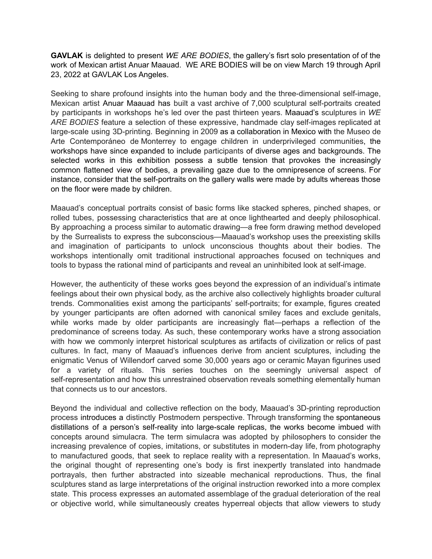**GAVLAK** is delighted to present *WE ARE BODIES*, the gallery's fisrt solo presentation of of the work of Mexican artist Anuar Maauad. WE ARE BODIES will be on view March 19 through April 23, 2022 at GAVLAK Los Angeles.

Seeking to share profound insights into the human body and the three-dimensional self-image, Mexican artist Anuar Maauad has built a vast archive of 7,000 sculptural self-portraits created by participants in workshops he's led over the past thirteen years. Maauad's sculptures in *WE ARE BODIES* feature a selection of these expressive, handmade clay self-images replicated at large-scale using 3D-printing. Beginning in 2009 as a collaboration in Mexico with the Museo de Arte Contemporáneo de Monterrey to engage children in underprivileged communities, the workshops have since expanded to include participants of diverse ages and backgrounds. The selected works in this exhibition possess a subtle tension that provokes the increasingly common flattened view of bodies, a prevailing gaze due to the omnipresence of screens. For instance, consider that the self-portraits on the gallery walls were made by adults whereas those on the floor were made by children.

Maauad's conceptual portraits consist of basic forms like stacked spheres, pinched shapes, or rolled tubes, possessing characteristics that are at once lighthearted and deeply philosophical. By approaching a process similar to automatic drawing—a free form drawing method developed by the Surrealists to express the subconscious—Maauad's workshop uses the preexisting skills and imagination of participants to unlock unconscious thoughts about their bodies. The workshops intentionally omit traditional instructional approaches focused on techniques and tools to bypass the rational mind of participants and reveal an uninhibited look at self-image.

However, the authenticity of these works goes beyond the expression of an individual's intimate feelings about their own physical body, as the archive also collectively highlights broader cultural trends. Commonalities exist among the participants' self-portraits; for example, figures created by younger participants are often adorned with canonical smiley faces and exclude genitals, while works made by older participants are increasingly flat—perhaps a reflection of the predominance of screens today. As such, these contemporary works have a strong association with how we commonly interpret historical sculptures as artifacts of civilization or relics of past cultures. In fact, many of Maauad's influences derive from ancient sculptures, including the enigmatic Venus of Willendorf carved some 30,000 years ago or ceramic Mayan figurines used for a variety of rituals. This series touches on the seemingly universal aspect of self-representation and how this unrestrained observation reveals something elementally human that connects us to our ancestors.

Beyond the individual and collective reflection on the body, Maauad's 3D-printing reproduction process introduces a distinctly Postmodern perspective. Through transforming the spontaneous distillations of a person's self-reality into large-scale replicas, the works become imbued with concepts around simulacra. The term simulacra was adopted by philosophers to consider the increasing prevalence of copies, imitations, or substitutes in modern-day life, from photography to manufactured goods, that seek to replace reality with a representation. In Maauad's works, the original thought of representing one's body is first inexpertly translated into handmade portrayals, then further abstracted into sizeable mechanical reproductions. Thus, the final sculptures stand as large interpretations of the original instruction reworked into a more complex state. This process expresses an automated assemblage of the gradual deterioration of the real or objective world, while simultaneously creates hyperreal objects that allow viewers to study